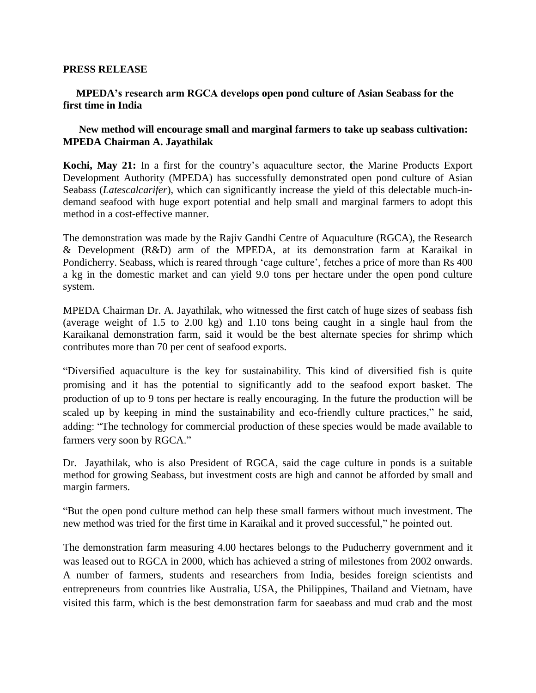## **PRESS RELEASE**

## **MPEDA's research arm RGCA develops open pond culture of Asian Seabass for the first time in India**

## **New method will encourage small and marginal farmers to take up seabass cultivation: MPEDA Chairman A. Jayathilak**

**Kochi, May 21:** In a first for the country's aquaculture sector, **t**he Marine Products Export Development Authority (MPEDA) has successfully demonstrated open pond culture of Asian Seabass (*Latescalcarifer*), which can significantly increase the yield of this delectable much-indemand seafood with huge export potential and help small and marginal farmers to adopt this method in a cost-effective manner.

The demonstration was made by the Rajiv Gandhi Centre of Aquaculture (RGCA), the Research & Development (R&D) arm of the MPEDA, at its demonstration farm at Karaikal in Pondicherry. Seabass, which is reared through 'cage culture', fetches a price of more than Rs 400 a kg in the domestic market and can yield 9.0 tons per hectare under the open pond culture system.

MPEDA Chairman Dr. A. Jayathilak, who witnessed the first catch of huge sizes of seabass fish (average weight of 1.5 to 2.00 kg) and 1.10 tons being caught in a single haul from the Karaikanal demonstration farm, said it would be the best alternate species for shrimp which contributes more than 70 per cent of seafood exports.

"Diversified aquaculture is the key for sustainability. This kind of diversified fish is quite promising and it has the potential to significantly add to the seafood export basket. The production of up to 9 tons per hectare is really encouraging. In the future the production will be scaled up by keeping in mind the sustainability and eco-friendly culture practices," he said, adding: "The technology for commercial production of these species would be made available to farmers very soon by RGCA."

Dr. Jayathilak, who is also President of RGCA, said the cage culture in ponds is a suitable method for growing Seabass, but investment costs are high and cannot be afforded by small and margin farmers.

"But the open pond culture method can help these small farmers without much investment. The new method was tried for the first time in Karaikal and it proved successful," he pointed out.

The demonstration farm measuring 4.00 hectares belongs to the Puducherry government and it was leased out to RGCA in 2000, which has achieved a string of milestones from 2002 onwards. A number of farmers, students and researchers from India, besides foreign scientists and entrepreneurs from countries like Australia, USA, the Philippines, Thailand and Vietnam, have visited this farm, which is the best demonstration farm for saeabass and mud crab and the most